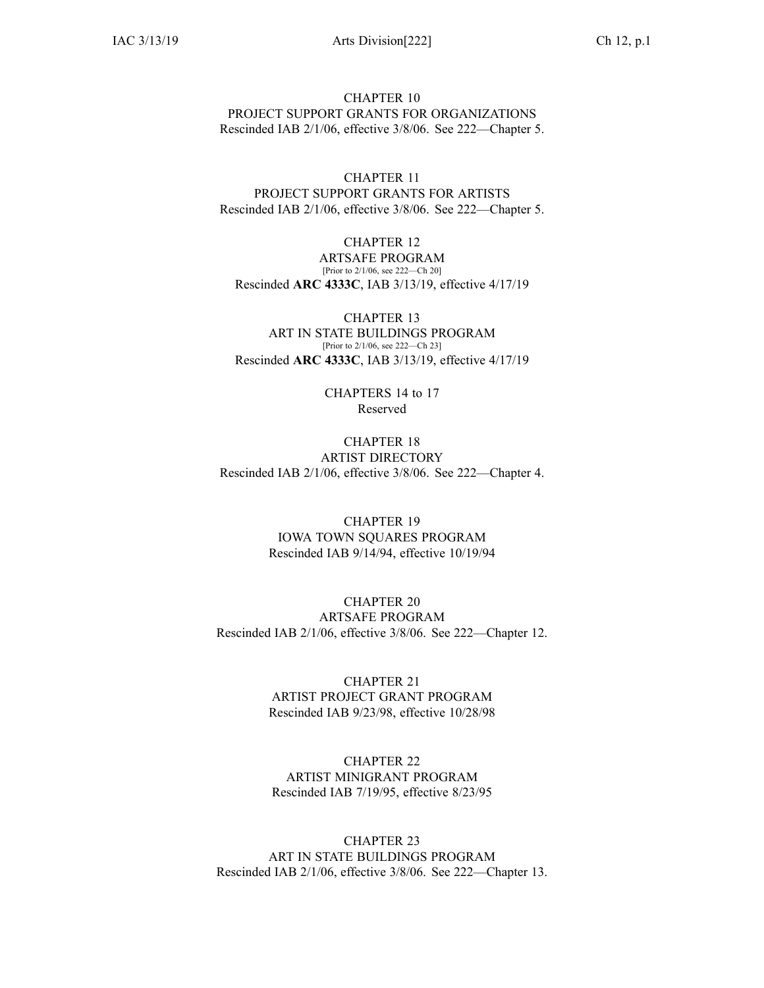CHAPTER 10 PROJECT SUPPORT GRANTS FOR ORGANIZATIONS Rescinded IAB [2/1/06](https://www.legis.iowa.gov/docs/aco/bulletin/02-01-2006.pdf), effective 3/8/06. See [222—Chapter](https://www.legis.iowa.gov/docs/iac/chapter/222.5.pdf) 5.

CHAPTER 11 PROJECT SUPPORT GRANTS FOR ARTISTS Rescinded IAB [2/1/06](https://www.legis.iowa.gov/docs/aco/bulletin/02-01-2006.pdf), effective 3/8/06. See [222—Chapter](https://www.legis.iowa.gov/docs/iac/chapter/222.5.pdf) 5.

CHAPTER 12 ARTSAFE PROGRAM [Prior to 2/1/06, see 222—Ch 20] Rescinded **ARC 4333C**, IAB [3/13/19](https://www.legis.iowa.gov/docs/aco/bulletin/03-13-2019.pdf), effective 4/17/19

CHAPTER 13 ART IN STATE BUILDINGS PROGRAM [Prior to 2/1/06, see 222—Ch 23] Rescinded **ARC 4333C**, IAB [3/13/19](https://www.legis.iowa.gov/docs/aco/bulletin/03-13-2019.pdf), effective 4/17/19

> CHAPTERS 14 to 17 Reserved

CHAPTER 18 ARTIST DIRECTORY Rescinded IAB [2/1/06](https://www.legis.iowa.gov/docs/aco/bulletin/02-01-2006.pdf), effective 3/8/06. See [222—Chapter](https://www.legis.iowa.gov/docs/iac/chapter/222.4.pdf) 4.

> CHAPTER 19 IOWA TOWN SQUARES PROGRAM Rescinded IAB [9/14/94](https://www.legis.iowa.gov/docs/aco/bulletin/09-14-1994.pdf), effective 10/19/94

CHAPTER 20 ARTSAFE PROGRAM Rescinded IAB [2/1/06](https://www.legis.iowa.gov/docs/aco/bulletin/02-01-2006.pdf), effective 3/8/06. See [222—Chapter](https://www.legis.iowa.gov/docs/iac/chapter/222.12.pdf) 12.

> CHAPTER 21 ARTIST PROJECT GRANT PROGRAM Rescinded IAB [9/23/98](https://www.legis.iowa.gov/docs/aco/bulletin/09-23-1998.pdf), effective 10/28/98

CHAPTER 22 ARTIST MINIGRANT PROGRAM Rescinded IAB [7/19/95](https://www.legis.iowa.gov/docs/aco/bulletin/07-19-1995.pdf), effective 8/23/95

CHAPTER 23 ART IN STATE BUILDINGS PROGRAM Rescinded IAB [2/1/06](https://www.legis.iowa.gov/docs/aco/bulletin/02-01-2006.pdf), effective 3/8/06. See [222—Chapter](https://www.legis.iowa.gov/docs/iac/chapter/222.13.pdf) 13.